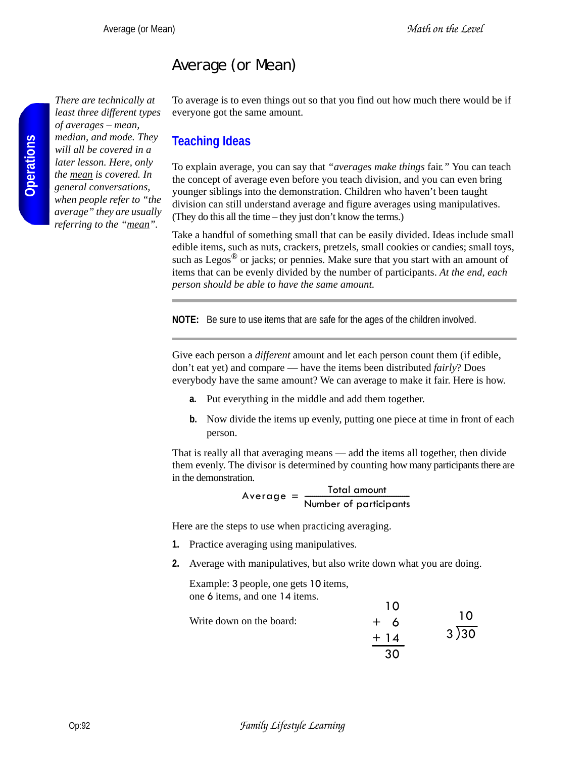# Average (or Mean)

*There are technically at least three different types of averages – mean, median, and mode. They will all be covered in a later lesson. Here, only the mean is covered. In general conversations, when people refer to "the average" they are usually referring to the "mean".*

To average is to even things out so that you find out how much there would be if everyone got the same amount.

## **Teaching Ideas**

To explain average, you can say that *"averages make things* fair*."* You can teach the concept of average even before you teach division, and you can even bring younger siblings into the demonstration. Children who haven't been taught division can still understand average and figure averages using manipulatives. (They do this all the time – they just don't know the terms.)

Take a handful of something small that can be easily divided. Ideas include small edible items, such as nuts, crackers, pretzels, small cookies or candies; small toys, such as Legos $^{\circledR}$  or jacks; or pennies. Make sure that you start with an amount of items that can be evenly divided by the number of participants. *At the end, each person should be able to have the same amount.*

**NOTE:** Be sure to use items that are safe for the ages of the children involved.

Give each person a *different* amount and let each person count them (if edible, don't eat yet) and compare — have the items been distributed *fairly*? Does everybody have the same amount? We can average to make it fair. Here is how.

- **a.** Put everything in the middle and add them together.
- **b.** Now divide the items up evenly, putting one piece at time in front of each person.

That is really all that averaging means — add the items all together, then divide them evenly. The divisor is determined by counting how many participants there are in the demonstration.

 $\text{Average} = \frac{\text{Total amount}}{\text{Number of participants}}$ 

Here are the steps to use when practicing averaging.

- **1.** Practice averaging using manipulatives.
- **2.** Average with manipulatives, but also write down what you are doing.

Example: 3 people, one gets 10 items, one 6 items, and one 14 items.

|                          | 1 ( ) |      |
|--------------------------|-------|------|
| Write down on the board: | $+6$  | 10   |
|                          | $+14$ | 3)30 |
|                          | 30    |      |

 $\overline{10}$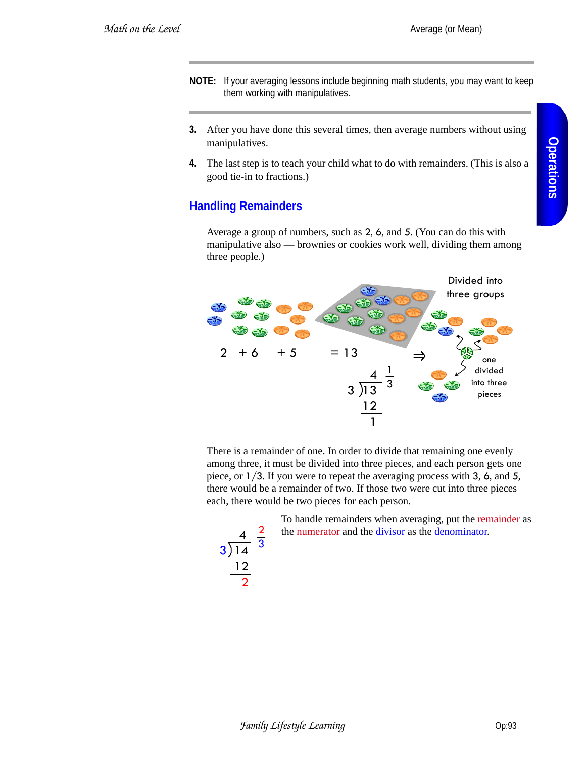- **NOTE:** If your averaging lessons include beginning math students, you may want to keep them working with manipulatives.
- **3.** After you have done this several times, then average numbers without using manipulatives.
- **4.** The last step is to teach your child what to do with remainders. (This is also a good tie-in to fractions.)

## **Handling Remainders**

Average a group of numbers, such as 2, 6, and 5. (You can do this with manipulative also — brownies or cookies work well, dividing them among three people.)



There is a remainder of one. In order to divide that remaining one evenly among three, it must be divided into three pieces, and each person gets one piece, or 1/3. If you were to repeat the averaging process with 3, 6, and 5, there would be a remainder of two. If those two were cut into three pieces each, there would be two pieces for each person.

> To handle remainders when averaging, put the remainder as the numerator and the divisor as the denominator.

$$
\begin{array}{r}\n4 \\
\hline\n4 \\
\hline\n3\n\end{array}\n\quad \frac{4}{14} \quad \frac{2}{3}
$$